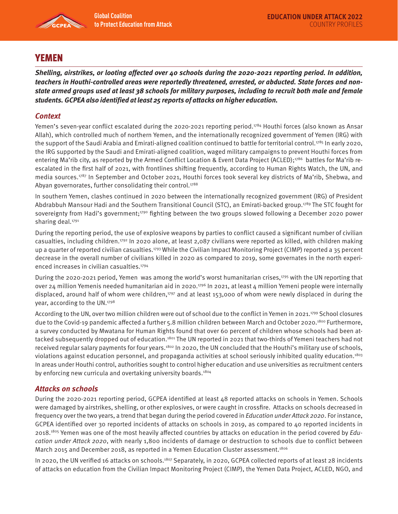

# YEMEN

**Shelling, airstrikes, or looting affected over 40 schools during the 2020-2021 reporting period. In addition, teachers in Houthi-controlled areas were reportedly threatened, arrested, or abducted. State forces and nonstate armed groups used at least 38 schools for military purposes, including to recruit both male and female students. GCPEA also identified at least 25 reports of attacks on higher education.** 

## **Context**

Yemen's seven-year conflict escalated during the 2020-2021 reporting period.<sup>1784</sup> Houthi forces (also known as Ansar Allah), which controlled much of northern Yemen, and the internationally recognized government of Yemen (IRG) with the support of the Saudi Arabia and Emirati-aligned coalition continued to battle for territorial control.<sup>1785</sup> In early 2020, the IRG supported by the Saudi and Emirati-aligned coalition, waged military campaigns to prevent Houthi forces from entering Ma'rib city, as reported by the Armed Conflict Location & Event Data Project (ACLED);<sup>1786</sup> battles for Ma'rib reescalated in the first half of 2021, with frontlines shifting frequently, according to Human Rights Watch, the UN, and media sources.1787 In September and October 2021, Houthi forces took several key districts of Ma'rib, Shebwa, and Abyan governorates, further consolidating their control.<sup>1788</sup>

In southern Yemen, clashes continued in 2020 between the internationally recognized government (IRG) of President Abdrabbuh Mansour Hadi and the Southern Transitional Council (STC), an Emirati-backed group.1789 The STC fought for sovereignty from Hadi's government;<sup>1790</sup> fighting between the two groups slowed following a December 2020 power sharing deal.<sup>1791</sup>

During the reporting period, the use of explosive weapons by parties to conflict caused a significant number of civilian casualties, including children.1792 In 2020 alone, at least 2,087 civilians were reported as killed, with children making up a quarter of reported civilian casualties.<sup>1793</sup> While the Civilian Impact Monitoring Project (CIMP) reported a 35 percent decrease in the overall number of civilians killed in 2020 as compared to 2019, some governates in the north experienced increases in civilian casualties.<sup>1794</sup>

During the 2020-2021 period, Yemen was among the world's worst humanitarian crises,<sup>1795</sup> with the UN reporting that over 24 million Yemenis needed humanitarian aid in 2020.<sup>1796</sup> In 2021, at least 4 million Yemeni people were internally displaced, around half of whom were children,<sup>1797</sup> and at least 153,000 of whom were newly displaced in during the year, according to the UN.<sup>1798</sup>

According to the UN, over two million children were out of school due to the conflict in Yemen in 2021.<sup>1799</sup> School closures due to the Covid-19 pandemic affected a further 5.8 million children between March and October 2020.<sup>1800</sup> Furthermore, a survey conducted by Mwatana for Human Rights found that over 60 percent of children whose schools had been attacked subsequently dropped out of education.<sup>1801</sup> The UN reported in 2021 that two-thirds of Yemeni teachers had not received regular salary payments for four years.1802 In 2020, the UN concluded that the Houthi's military use of schools, violations against education personnel, and propaganda activities at school seriously inhibited quality education.1803 In areas under Houthi control, authorities sought to control higher education and use universities as recruitment centers by enforcing new curricula and overtaking university boards.<sup>1804</sup>

#### **Attacks on schools**

During the 2020-2021 reporting period, GCPEA identified at least 48 reported attacks on schools in Yemen. Schools were damaged by airstrikes, shelling, or other explosives, or were caught in crossfire. Attacks on schools decreased in frequency over the two years, a trend that began during the period covered in Education under Attack 2020. For instance, GCPEA identified over 30 reported incidents of attacks on schools in 2019, as compared to 40 reported incidents in 2018.<sup>1805</sup> Yemen was one of the most heavily affected countries by attacks on education in the period covered by Education under Attack 2020, with nearly 1,800 incidents of damage or destruction to schools due to conflict between March 2015 and December 2018, as reported in a Yemen Education Cluster assessment.<sup>1806</sup>

In 2020, the UN verified 16 attacks on schools.<sup>1807</sup> Separately, in 2020, GCPEA collected reports of at least 28 incidents of attacks on education from the Civilian Impact Monitoring Project (CIMP), the Yemen Data Project, ACLED, NGO, and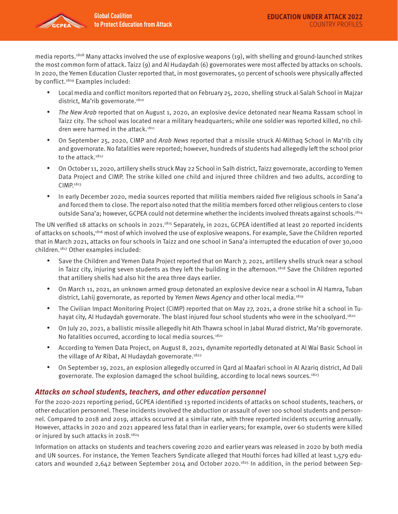

media reports.1808 Many attacks involved the use of explosive weapons (19), with shelling and ground-launched strikes the most common form of attack. Taizz (9) and Al Hudaydah (6) governorates were most affected by attacks on schools. In 2020, the Yemen Education Cluster reported that, in most governorates, 50 percent of schools were physically affected by conflict.<sup>1809</sup> Examples included:

- Local media and conflict monitors reported that on February 25, 2020, shelling struck al-Salah School in Majzar district, Ma'rib governorate.<sup>1810</sup>
- The New Arab reported that on August 1, 2020, an explosive device detonated near Neama Rassam school in Taizz city. The school was located near a military headquarters; while one soldier was reported killed, no children were harmed in the attack.<sup>1811</sup>
- On September 25, 2020, CIMP and Arab News reported that a missile struck Al-Mithag School in Ma'rib city and governorate. No fatalities were reported; however, hundreds of students had allegedly left the school prior to the attack.<sup>1812</sup>
- On October 11, 2020, artillery shells struck May 22 School in Salh district, Taizz governorate, according to Yemen Data Project and CIMP. The strike killed one child and injured three children and two adults, according to CIMP.1813
- In early December 2020, media sources reported that militia members raided five religious schools in Sana'a and forced them to close. The report also noted that the militia members forced other religious centers to close outside Sana'a; however, GCPEA could not determine whether the incidents involved threats against schools.1814

The UN verified 18 attacks on schools in 2021.<sup>1815</sup> Separately, in 2021, GCPEA identified at least 20 reported incidents of attacks on schools,1816 most of which involved the use of explosive weapons. For example, Save the Children reported that in March 2021, attacks on four schools in Taizz and one school in Sana'a interrupted the education of over 30,000 children.1817 Other examples included:

- Save the Children and Yemen Data Project reported that on March 7, 2021, artillery shells struck near a school in Taizz city, injuring seven students as they left the building in the afternoon.<sup>1818</sup> Save the Children reported that artillery shells had also hit the area three days earlier.
- On March 11, 2021, an unknown armed group detonated an explosive device near a school in Al Hamra, Tuban district, Lahij governorate, as reported by Yemen News Agency and other local media.<sup>1819</sup>
- The Civilian Impact Monitoring Project (CIMP) reported that on May 27, 2021, a drone strike hit a school in Tuhayat city, Al Hudaydah governorate. The blast injured four school students who were in the schoolyard.<sup>1820</sup>
- On July 20, 2021, a ballistic missile allegedly hit Ath Thawra school in Jabal Murad district, Ma'rib governorate. No fatalities occurred, according to local media sources.<sup>1821</sup>
- According to Yemen Data Project, on August 8, 2021, dynamite reportedly detonated at Al Wai Basic School in the village of Ar Ribat, Al Hudaydah governorate.<sup>1822</sup>
- On September 19, 2021, an explosion allegedly occurred in Qard al Maafari school in Al Azariq district, Ad Dali governorate. The explosion damaged the school building, according to local news sources.<sup>1823</sup>

#### **Attacks on school students, teachers, and other education personnel**

For the 2020-2021 reporting period, GCPEA identified 13 reported incidents of attacks on school students, teachers, or other education personnel. These incidents involved the abduction or assault of over 100 school students and personnel. Compared to 2018 and 2019, attacks occurred at a similar rate, with three reported incidents occurring annually. However, attacks in 2020 and 2021 appeared less fatal than in earlier years; for example, over 60 students were killed or injured by such attacks in 2018.<sup>1824</sup>

Information on attacks on students and teachers covering 2020 and earlier years was released in 2020 by both media and UN sources. For instance, the Yemen Teachers Syndicate alleged that Houthi forces had killed at least 1,579 educators and wounded 2,642 between September 2014 and October 2020.1825 In addition, in the period between Sep-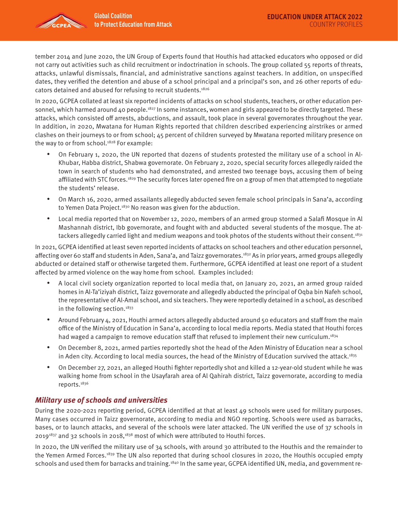tember 2014 and June 2020, the UN Group of Experts found that Houthis had attacked educators who opposed or did not carry out activities such as child recruitment or indoctrination in schools. The group collated 55 reports of threats, attacks, unlawful dismissals, financial, and administrative sanctions against teachers. In addition, on unspecified dates, they verified the detention and abuse of a school principal and a principal's son, and 26 other reports of educators detained and abused for refusing to recruit students.1826

In 2020, GCPEA collated at least six reported incidents of attacks on school students, teachers, or other education personnel, which harmed around 40 people.<sup>1827</sup> In some instances, women and girls appeared to be directly targeted. These attacks, which consisted off arrests, abductions, and assault, took place in several governorates throughout the year. In addition, in 2020, Mwatana for Human Rights reported that children described experiencing airstrikes or armed clashes on their journeys to or from school; 45 percent of children surveyed by Mwatana reported military presence on the way to or from school.<sup>1828</sup> For example:

- On February 1, 2020, the UN reported that dozens of students protested the military use of a school in Al-Khubar, Habba district, Shabwa governorate. On February 2, 2020, special security forces allegedly raided the town in search of students who had demonstrated, and arrested two teenage boys, accusing them of being affiliated with STC forces.<sup>1829</sup> The security forces later opened fire on a group of men that attempted to negotiate the students' release.
- On March 16, 2020, armed assailants allegedly abducted seven female school principals in Sana'a, according to Yemen Data Project.<sup>1830</sup> No reason was given for the abduction.
- Local media reported that on November 12, 2020, members of an armed group stormed a Salafi Mosque in Al Mashannah district, Ibb governorate, and fought with and abducted several students of the mosque. The attackers allegedly carried light and medium weapons and took photos of the students without their consent.<sup>1831</sup>

In 2021, GCPEA identified at least seven reported incidents of attacks on school teachers and other education personnel, affecting over 60 staff and students in Aden, Sana'a, and Taizz governorates.<sup>1832</sup> As in prior years, armed groups allegedly abducted or detained staff or otherwise targeted them. Furthermore, GCPEA identified at least one report of a student affected by armed violence on the way home from school. Examples included:

- A local civil society organization reported to local media that, on January 20, 2021, an armed group raided homes in Al-Ta'iziyah district, Taizz governorate and allegedly abducted the principal of Oqba bin Nafeh school, the representative of Al-Amal school, and six teachers. They were reportedly detained in a school, as described in the following section. $1833$
- Around February 4, 2021, Houthi armed actors allegedly abducted around 50 educators and staff from the main office of the Ministry of Education in Sana'a, according to local media reports. Media stated that Houthi forces had waged a campaign to remove education staff that refused to implement their new curriculum.<sup>1834</sup>
- On December 8, 2021, armed parties reportedly shot the head of the Aden Ministry of Education near a school in Aden city. According to local media sources, the head of the Ministry of Education survived the attack.<sup>1835</sup>
- On December 27, 2021, an alleged Houthi fighter reportedly shot and killed a 12-year-old student while he was walking home from school in the Usayfarah area of Al Qahirah district, Taizz governorate, according to media reports.1836

# **Military use of schools and universities**

During the 2020-2021 reporting period, GCPEA identified at that at least 49 schools were used for military purposes. Many cases occurred in Taizz governorate, according to media and NGO reporting. Schools were used as barracks, bases, or to launch attacks, and several of the schools were later attacked. The UN verified the use of 37 schools in  $2019^{1837}$  and 32 schools in 2018,<sup>1838</sup> most of which were attributed to Houthi forces.

In 2020, the UN verified the military use of 34 schools, with around 30 attributed to the Houthis and the remainder to the Yemen Armed Forces.1839 The UN also reported that during school closures in 2020, the Houthis occupied empty schools and used them for barracks and training.<sup>1840</sup> In the same year, GCPEA identified UN, media, and government re-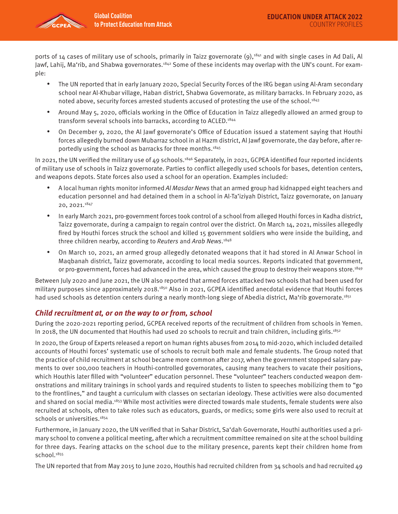

ports of 14 cases of military use of schools, primarily in Taizz governorate (9),<sup>1841</sup> and with single cases in Ad Dali, Al Jawf, Lahij, Ma'rib, and Shabwa governorates.<sup>1842</sup> Some of these incidents may overlap with the UN's count. For example:

- The UN reported that in early January 2020, Special Security Forces of the IRG began using Al-Aram secondary school near Al-Khubar village, Haban district, Shabwa Governorate, as military barracks. In February 2020, as noted above, security forces arrested students accused of protesting the use of the school.<sup>1843</sup>
- Around May 5, 2020, officials working in the Office of Education in Taizz allegedly allowed an armed group to transform several schools into barracks, according to ACLED.1844
- On December 9, 2020, the Al Jawf governorate's Office of Education issued a statement saying that Houthi forces allegedly burned down Mubarraz school in al Hazm district, Al Jawf governorate, the day before, after reportedly using the school as barracks for three months.1845

In 2021, the UN verified the military use of 49 schools.<sup>1846</sup> Separately, in 2021, GCPEA identified four reported incidents of military use of schools in Taizz governorate. Parties to conflict allegedly used schools for bases, detention centers, and weapons depots. State forces also used a school for an operation. Examples included:

- A local human rights monitor informed Al Masdar News that an armed group had kidnapped eight teachers and education personnel and had detained them in a school in Al-Ta'iziyah District, Taizz governorate, on January 20, 2021.1847
- In early March 2021, pro-government forces took control of a school from alleged Houthi forces in Kadha district, Taizz governorate, during a campaign to regain control over the district. On March 14, 2021, missiles allegedly fired by Houthi forces struck the school and killed 15 government soldiers who were inside the building, and three children nearby, according to Reuters and Arab News.<sup>1848</sup>
- On March 10, 2021, an armed group allegedly detonated weapons that it had stored in Al Anwar School in Maqbanah district, Taizz governorate, according to local media sources. Reports indicated that government, or pro-government, forces had advanced in the area, which caused the group to destroy their weapons store.<sup>1849</sup>

Between July 2020 and June 2021, the UN also reported that armed forces attacked two schools that had been used for military purposes since approximately 2018.<sup>1850</sup> Also in 2021, GCPEA identified anecdotal evidence that Houthi forces had used schools as detention centers during a nearly month-long siege of Abedia district, Ma'rib governorate.<sup>1851</sup>

#### **Child recruitment at, or on the way to or from, school**

During the 2020-2021 reporting period, GCPEA received reports of the recruitment of children from schools in Yemen. In 2018, the UN documented that Houthis had used 20 schools to recruit and train children, including girls.<sup>1852</sup>

In 2020, the Group of Experts released a report on human rights abuses from 2014 to mid-2020, which included detailed accounts of Houthi forces' systematic use of schools to recruit both male and female students. The Group noted that the practice of child recruitment at school became more common after 2017, when the government stopped salary payments to over 100,000 teachers in Houthi-controlled governorates, causing many teachers to vacate their positions, which Houthis later filled with "volunteer" education personnel. These "volunteer" teachers conducted weapon demonstrations and military trainings in school yards and required students to listen to speeches mobilizing them to "go to the frontlines," and taught a curriculum with classes on sectarian ideology. These activities were also documented and shared on social media.1853 While most activities were directed towards male students, female students were also recruited at schools, often to take roles such as educators, guards, or medics; some girls were also used to recruit at schools or universities.<sup>1854</sup>

Furthermore, in January 2020, the UN verified that in Sahar District, Sa'dah Governorate, Houthi authorities used a primary school to convene a political meeting, after which a recruitment committee remained on site at the school building for three days. Fearing attacks on the school due to the military presence, parents kept their children home from school.<sup>1855</sup>

The UN reported that from May 2015 to June 2020, Houthis had recruited children from 34 schools and had recruited 49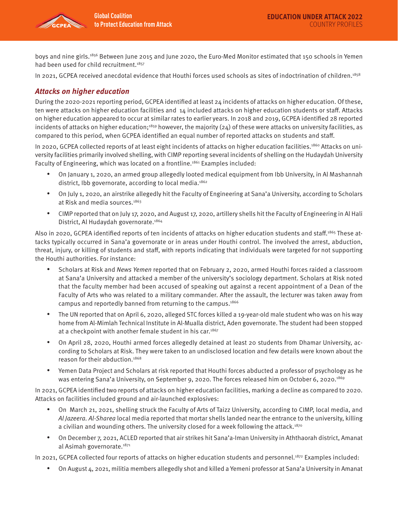

boys and nine girls.1856 Between June 2015 and June 2020, the Euro-Med Monitor estimated that 150 schools in Yemen had been used for child recruitment.<sup>1857</sup>

In 2021, GCPEA received anecdotal evidence that Houthi forces used schools as sites of indoctrination of children.<sup>1858</sup>

## **Attacks on higher education**

During the 2020-2021 reporting period, GCPEA identified at least 24 incidents of attacks on higher education. Of these, ten were attacks on higher education facilities and 14 included attacks on higher education students or staff. Attacks on higher education appeared to occur at similar rates to earlier years. In 2018 and 2019, GCPEA identified 28 reported incidents of attacks on higher education;<sup>1859</sup> however, the majority (24) of these were attacks on university facilities, as compared to this period, when GCPEA identified an equal number of reported attacks on students and staff.

In 2020, GCPEA collected reports of at least eight incidents of attacks on higher education facilities.<sup>1860</sup> Attacks on university facilities primarily involved shelling, with CIMP reporting several incidents of shelling on the Hudaydah University Faculty of Engineering, which was located on a frontline.<sup>1861</sup> Examples included:

- On January 1, 2020, an armed group allegedly looted medical equipment from Ibb University, in Al Mashannah district, Ibb governorate, according to local media.<sup>1862</sup>
- On July 1, 2020, an airstrike allegedly hit the Faculty of Engineering at Sana'a University, according to Scholars at Risk and media sources.1863
- CIMP reported that on July 17, 2020, and August 17, 2020, artillery shells hit the Faculty of Engineering in Al Hali District, Al Hudaydah governorate.<sup>1864</sup>

Also in 2020, GCPEA identified reports of ten incidents of attacks on higher education students and staff.1865 These attacks typically occurred in Sana'a governorate or in areas under Houthi control. The involved the arrest, abduction, threat, injury, or killing of students and staff, with reports indicating that individuals were targeted for not supporting the Houthi authorities. For instance:

- Scholars at Risk and News Yemen reported that on February 2, 2020, armed Houthi forces raided a classroom at Sana'a University and attacked a member of the university's sociology department. Scholars at Risk noted that the faculty member had been accused of speaking out against a recent appointment of a Dean of the Faculty of Arts who was related to a military commander. After the assault, the lecturer was taken away from campus and reportedly banned from returning to the campus.<sup>1866</sup>
- The UN reported that on April 6, 2020, alleged STC forces killed a 19-year-old male student who was on his way home from Al-Mimlah Technical Institute in Al-Mualla district, Aden governorate. The student had been stopped at a checkpoint with another female student in his car.<sup>1867</sup>
- On April 28, 2020, Houthi armed forces allegedly detained at least 20 students from Dhamar University, according to Scholars at Risk. They were taken to an undisclosed location and few details were known about the reason for their abduction.1868
- Yemen Data Project and Scholars at risk reported that Houthi forces abducted a professor of psychology as he was entering Sana'a University, on September 9, 2020. The forces released him on October 6, 2020.<sup>1869</sup>

In 2021, GCPEA identified two reports of attacks on higher education facilities, marking a decline as compared to 2020. Attacks on facilities included ground and air-launched explosives:

- On March 21, 2021, shelling struck the Faculty of Arts of Taizz University, according to CIMP, local media, and Al Jazeera. Al-Sharea local media reported that mortar shells landed near the entrance to the university, killing a civilian and wounding others. The university closed for a week following the attack.<sup>1870</sup>
- On December 7, 2021, ACLED reported that air strikes hit Sana'a-Iman University in Aththaorah district, Amanat al Asimah governorate.<sup>1871</sup>

In 2021, GCPEA collected four reports of attacks on higher education students and personnel.1872 Examples included:

• On August 4, 2021, militia members allegedly shot and killed a Yemeni professor at Sana'a University in Amanat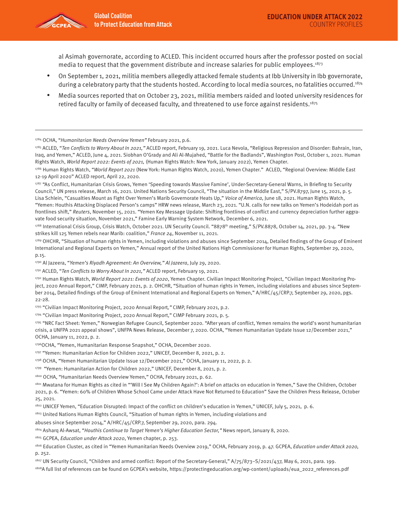

al Asimah governorate, according to ACLED. This incident occurred hours after the professor posted on social media to request that the government distribute and increase salaries for public employees.1873

- On September 1, 2021, militia members allegedly attacked female students at Ibb University in Ibb governorate, during a celebratory party that the students hosted. According to local media sources, no fatalities occurred.<sup>1874</sup>
- Media sources reported that on October 23, 2021, militia members raided and looted university residences for retired faculty or family of deceased faculty, and threatened to use force against residents.1875

1784 OCHA, "Humanitarian Needs Overview Yemen" February 2021, p.6.

1785 ACLED, "Ten Conflicts to Worry About In 2021," ACLED report, February 19, 2021. Luca Nevola, "Religious Repression and Disorder: Bahrain, Iran, Iraq, and Yemen," ACLED, June 4, 2021. Siobhan O'Grady and Ali Al-Mujahed, "Battle for the Badlands", Washington Post, October 1, 2021. Human Rights Watch, World Report 2022: Events of 2021, (Human Rights Watch: New York, January 2022), Yemen Chapter.

1786 Human Rights Watch, "World Report 2021 (New York: Human Rights Watch, 2020), Yemen Chapter." ACLED, "Regional Overview: Middle East 12-19 April 2020" ACLED report, April 22, 2020.

1787 "As Conflict, Humanitarian Crisis Grows, Yemen 'Speeding towards Massive Famine', Under-Secretary-General Warns, in Briefing to Security Council," UN press release, March 16, 2021. United Nations Security Council, "The situation in the Middle East," S/PV.8797, June 15, 2021, p. 5. Lisa Schlein, "Casualties Mount as Fight Over Yemen's Marib Governorate Heats Up," Voice of America, June 18, 2021. Human Rights Watch, "Yemen: Houthis Attacking Displaced Person's camps" HRW news release, March 23, 2021. "U.N. calls for new talks on Yemen's Hodeidah port as frontlines shift," Reuters, November 15, 2021. "Yemen Key Message Update: Shifting frontlines of conflict and currency depreciation further aggravate food security situation, November 2021," Famine Early Warning System Network, December 6, 2021.

<sup>1788</sup> International Crisis Group, Crisis Watch, October 2021. UN Security Council. "8878<sup>th</sup> meeting," S/PV.8878, October 14, 2021, pp. 3-4. "New strikes kill 125 Yemen rebels near Marib: coalition," France 24, November 11, 2021.

1789 OHCHR, "Situation of human rights in Yemen, including violations and abuses since September 2014, Detailed findings of the Group of Eminent International and Regional Experts on Yemen," Annual report of the United Nations High Commissioner for Human Rights, September 29, 2020, p.15.

1790 Al Jazeera, "Yemen's Riyadh Agreement: An Overview," Al Jazeera, July 29, 2020.

1791 ACLED, "Ten Conflicts to Worry About In 2021," ACLED report, February 19, 2021.

1792 Human Rights Watch, World Report 2021: Events of 2020, Yemen Chapter. Civilian Impact Monitoring Project, "Civilian Impact Monitoring Project, 2020 Annual Report," CIMP, February 2021, p. 2. OHCHR, "Situation of human rights in Yemen, including violations and abuses since September 2014, Detailed findings of the Group of Eminent International and Regional Experts on Yemen," A/HRC/45/CRP.7, September 29, 2020, pgs. 22-28.

1793 "Civilian Impact Monitoring Project, 2020 Annual Report," CIMP, February 2021, p.2.

1794 "Civilian Impact Monitoring Project, 2020 Annual Report," CIMP February 2021, p. 5.

1795 "NRC Fact Sheet: Yemen," Norwegian Refugee Council, September 2020. "After years of conflict, Yemen remains the world's worst humanitarian crisis, a UNFPA 2021 appeal shows", UNFPA News Release, December 7, 2020. OCHA, "Yemen Humanitarian Update Issue 12/December 2021," OCHA, January 11, 2022, p. 2.

1796OCHA, "Yemen, Humanitarian Response Snapshot," OCHA, December 2020.

1797 "Yemen: Humanitarian Action for Children 2022," UNICEF, December 8, 2021, p. 2.

1798 OCHA, "Yemen Humanitarian Update Issue 12/December 2021," OCHA, January 11, 2022, p. 2.

1799 "Yemen: Humanitarian Action for Children 2022," UNICEF, December 8, 2021, p. 2.

1800 OCHA, "Humanitarian Needs Overview Yemen," OCHA, February 2021, p. 62.

1801 Mwatana for Human Rights as cited in "'Will I See My Children Again?': A brief on attacks on education in Yemen," Save the Children, October 2021, p. 6. "Yemen: 60% of Children Whose School Came under Attack Have Not Returned to Education" Save the Children Press Release, October 25, 2021.

1802 UNICEF Yemen, "Education Disrupted: Impact of the conflict on children's education in Yemen," UNICEF, July 5, 2021, p. 6.

1803 United Nations Human Rights Council, "Situation of human rights in Yemen, including violations and

abuses since September 2014," A/HRC/45/CRP.7, September 29, 2020, para. 294.

1804 Asharq Al-Awsat, "Houthis Continue to Target Yemen's Higher Education Sector," News report, January 8, 2020.

1805 GCPEA, Education under Attack 2020, Yemen chapter, p. 253.

1806 Education Cluster, as cited in "Yemen Humanitarian Needs Overview 2019," OCHA, February 2019, p. 47. GCPEA, Education under Attack 2020, p. 252.

<sup>1807</sup> UN Security Council, "Children and armed conflict: Report of the Secretary-General," A/75/873-S/2021/437, May 6, 2021, para. 199.

1808A full list of references can be found on GCPEA's website, https://protectingeducation.org/wp-content/uploads/eua\_2022\_references.pdf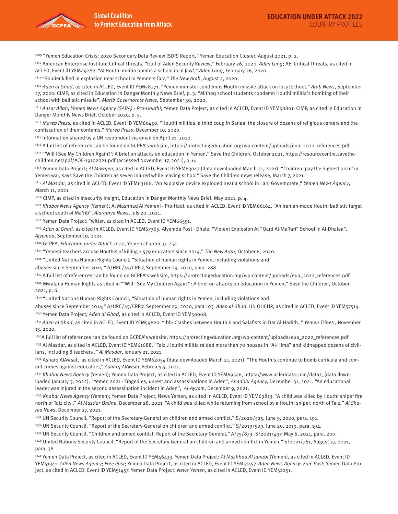

1809 "Yemen Education Crisis: 2020 Secondary Data Review (SDR) Report," Yemen Education Cluster, August 2021, p. 2.

<sup>1810</sup> American Enterprise Institute Critical Threats, "Gulf of Aden Security Review," February 26, 2020. Aden Lang; AEI Critical Threats, as cited in ACLED, Event ID YEM49282. "Al Houthi militia bombs a school in al Jawf," Aden Lang, February 26, 2020.

1811 "Soldier killed in explosion near school in Yemen's Taiz," The New Arab, August 2, 2020.

1812 Aden al Ghad, as cited in ACLED, Event ID YEM58271. "Yemen minister condemns Houthi missile attack on local school," Arab News, September 27, 2020. CIMP, as cited in Education in Danger Monthly News Brief, p. 3. "Mithaq school students condemn Houthi militia's bombing of their school with ballistic missile", Marib Governorate News, September 30, 2020.

1813 Ansar Allah; Yemen News Agency (SABA) - Pro-Houthi; Yemen Data Project, as cited in ACLED, Event ID YEM58801. CIMP, as cited in Education in Danger Monthly News Brief, October 2020, p. 5.

 $1814$  Mareb Press, as cited in ACLED, Event ID YEM60450. "Houthi militias, a third coup in Sanaa, the closure of dozens of religious centers and the confiscation of their contents," Mareb Press, December 10, 2020.

1815 Information shared by a UN respondent via email on April 21, 2022.

1816 A full list of references can be found on GCPEA's website, https://protectingeducation.org/wp-content/uploads/eua\_2022\_references.pdf 1817 "Will I See My Children Again?': A brief on attacks on education in Yemen," Save the Children, October 2021, https://resourcecentre.savethechildren.net/pdf/AOE-19102021.pdf (accessed November 17, 2021), p. 6.

1818 Yemen Data Project; Al Mawqea, as cited in ACLED, Event ID YEM63047 (data downloaded March 21, 2021). "Children 'pay the highest price' in Yemen war, says Save the Children as seven injured while leaving school" Save the Children news release, March 7, 2021.

<sup>1819</sup> Al Masdar, as cited in ACLED, Event ID YEM63166. "An explosive device exploded near a school in Lahj Governorate," Yemen News Agency, March 11, 2021.

1820 CIMP, as cited in Insecurity Insight, Education in Danger Monthly News Brief, May 2021, p. 4.

1821 Khabar News Agency (Yemen); Al Mashhad Al Yemeni - Pro-Hadi, as cited in ACLED, Event ID YEM66164. "An Iranian-made Houthi ballistic target a school south of Ma'rib". Alarabiya News, July 20, 2021.

1822 Yemen Data Project; Twitter, as cited in ACLED, Event ID YEM66551.

1823 Aden al Ghad, as cited in ACLED, Event ID YEM67365. Alyemda Post - Dhale, "Violent Explosion At "Qard Al-Ma'fari" School In Al-Dhalea", Alyemda, September 19, 2021.

1824 GCPEA, Education under Attack 2020, Yemen chapter, p. 254.

1825 "Yemeni teachers accuse Houthis of killing 1,579 educators since 2014," The New Arab, October 6, 2020.

1826 "United Nations Human Rights Council, "Situation of human rights in Yemen, including violations and

abuses since September 2014," A/HRC/45/CRP.7, September 29, 2020, para. 288.

1827 A full list of references can be found on GCPEA's website, https://protectingeducation.org/wp-content/uploads/eua\_2022\_references.pdf 1828 Mwatana Human Rights as cited in "'Will I See My Children Again?': A brief on attacks on education in Yemen," Save the Children, October 2021, p. 6.

1829 "United Nations Human Rights Council, "Situation of human rights in Yemen, including violations and

abuses since September 2014," A/HRC/45/CRP.7, September 29, 2020, para 103. Aden al Ghad; UN OHCHR, as cited in ACLED, Event ID YEM57514. 1830 Yemen Data Project; Aden al Ghad, as cited in ACLED, Event ID YEM50068.

<sup>1831</sup> Aden al Ghad, as cited in ACLED, Event ID YEM59820. "Ibb: Clashes between Houthis and Salafists in Dar Al-Hadith ," Yemen Tribes, November 13, 2020.

1832A full list of references can be found on GCPEA's website, https://protectingeducation.org/wp-content/uploads/eua\_2022\_references.pdf

1833 Al Masdar, as cited in ACLED, Event ID YEM61688. "Taiz..Houthi militia raided more than 70 houses in "Al-Hima" and kidnapped dozens of civilians, including 8 teachers ," Al Masdar, January 21, 2021.

 $1834$  Asharq AlAwsat, as cited in ACLED, Event ID YEM62054 (data downloaded March 21, 2021). "The Houthis continue to bomb curricula and commit crimes against educators," Asharq AlAwsat, February 5, 2021.

<sup>1835</sup> Khabar News Agency (Yemen); Yemen Data Project, as cited in ACLED, Event ID YEM69346, https://www.acleddata.com/data/, (data downloaded January 3, 2022). "Yemen 2021 - Tragedies, unrest and assassinations in Aden", Anadolu Agency, December 31, 2021. "An educational leader was injured in the second assassination incident in Aden", Al-Ayyam, December 9, 2021.

1836 Khabar News Agency (Yemen); Yemen Data Project; News Yemen, as cited in ACLED, Event ID YEM69813. "A child was killed by Houthi sniper fire north of Taiz city," Al Masdar Online, December 28, 2021. "A child was killed while returning from school by a Houthi sniper, north of Taiz," Al Sharea News, December 27, 2021.

<sup>1837</sup> UN Security Council, "Report of the Secretary-General on children and armed conflict," S/2020/525, June 9, 2020, para. 191.

1838 UN Security Council, "Report of the Secretary-General on children and armed conflict," S/2019/509, June 20, 2019, para. 194.

1839 UN Security Council, "Children and armed conflict: Report of the Secretary-General," A/75/873-S/2021/437, May 6, 2021, para. 200.

<sup>1840</sup> United Nations Security Council, "Report of the Secretary-General on children and armed conflict in Yemen," S/2021/761, August 27, 2021, para. 38

1841 Yemen Data Project, as cited in ACLED, Event ID YEM46433. Yemen Data Project; Al Mashhad Al Janubi (Yemen), as cited in ACLED, Event ID YEM51341. Aden News Agency; Free Post; Yemen Data Project, as cited in ACLED, Event ID YEM51457. Aden News Agency; Free Post; Yemen Data Project, as cited in ACLED, Event ID YEM51457. Yemen Data Project; News Yemen, as cited in ACLED, Event ID YEM52251.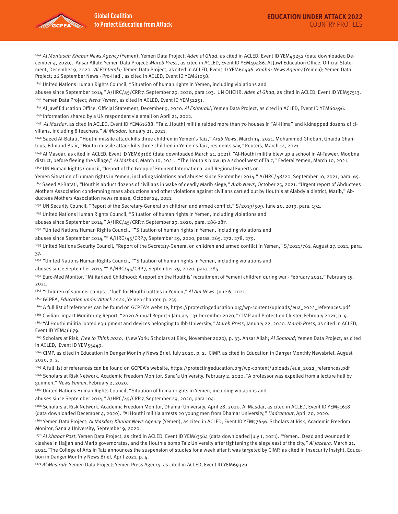

1842 Al Montasaf; Khabar News Agency (Yemen); Yemen Data Project; Aden al Ghad, as cited in ACLED, Event ID YEM49252 (data downloaded December 4, 2020). Ansar Allah; Yemen Data Project; Mareb Press, as cited in ACLED, Event ID YEM49486. Al Jawf Education Office, Official Statement, December 9, 2020. Al Eshteraki; Temen Data Project, as cited in ACLED, Event ID YEM60496. Khabar News Agency (Yemen); Yemen Data Project; 26 September News - Pro-Hadi, as cited in ACLED, Event ID YEM61058.

1843 United Nations Human Rights Council, "Situation of human rights in Yemen, including violations and

abuses since September 2014," A/HRC/45/CRP.7, September 29, 2020, para 103. UN OHCHR; Aden al Ghad, as cited in ACLED, Event ID YEM57513. 1844 Yemen Data Project; News Yemen, as cited in ACLED, Event ID YEM52251.

1845 Al Jawf Education Office, Official Statement, December 9, 2020. Al Eshteraki; Yemen Data Project, as cited in ACLED, Event ID YEM60496. 1846 Information shared by a UN respondent via email on April 21, 2022.

1847 Al Masdar, as cited in ACLED, Event ID YEM61688. "Taiz..Houthi militia raided more than 70 houses in "Al-Hima" and kidnapped dozens of civilians, including 8 teachers," Al Masdar, January 21, 2021.

<sup>1848</sup> Saeed Al-Batati, "Houthi missile attack kills three children in Yemen's Taiz," Arab News, March 14, 2021. Mohammed Ghobari, Ghaida Ghantous, Edmund Blair, "Houthi missile attack kills three children in Yemen's Taiz, residents say," Reuters, March 14, 2021.

1849 Al Masdar, as cited in ACLED, Event ID YEM63166 (data downloaded March 21, 2021). "Al-Houthi militia blew up a school in Al-Taweer, Moqbna district, before fleeing the village," Al Mashad, March 10, 2021. "The Houthis blow up a school west of Taiz," Federal Yemen, March 10, 2021. 1850 UN Human Rights Council, "Report of the Group of Eminent International and Regional Experts on

Yemen Situation of human rights in Yemen, including violations and abuses since September 2014," A/HRC/48/20, September 10, 2021, para. 65.

1851 Saeed Al-Batati, "Houthis abduct dozens of civilians in wake of deadly Marib siege," Arab News, October 25, 2021. "Urgent report of Abductees Mothers Association condemning mass abductions and other violations against civilians carried out by Houthis at Alabdyia district, Marib," Abductees Mothers Association news release, October 24, 2021.

1852 UN Security Council, "Report of the Secretary-General on children and armed conflict," S/2019/509, June 20, 2019, para. 194.

1853 United Nations Human Rights Council, "Situation of human rights in Yemen, including violations and

abuses since September 2014," A/HRC/45/CRP.7, September 29, 2020, para. 286-287.

1854 "United Nations Human Rights Council, ""Situation of human rights in Yemen, including violations and

abuses since September 2014,"" A/HRC/45/CRP.7, September 29, 2020, paras. 265, 272, 278, 279.

1855 United Nations Security Council, "Report of the Secretary-General on children and armed conflict in Yemen," S/2021/761, August 27, 2021, para. 37.

1856 "United Nations Human Rights Council, ""Situation of human rights in Yemen, including violations and

abuses since September 2014,"" A/HRC/45/CRP.7, September 29, 2020, para. 285.

1857 Euro-Med Monitor, "Militarized Childhood: A report on the Houthis' recruitment of Yemeni children during war - February 2021," February 15, 2021.

<sup>1858</sup> "Children of summer camps .. 'fuel' for Houthi battles in Yemen," Al Ain News, June 6, 2021.

1859 GCPEA, Education under Attack 2020, Yemen chapter, p. 255.

1860 A full list of references can be found on GCPEA's website, https://protectingeducation.org/wp-content/uploads/eua\_2022\_references.pdf 1861 Civilian Impact Monitoring Report, "2020 Annual Report 1 January - 31 December 2020," CIMP and Protection Cluster, February 2021, p. 9.

1862 "Al Houthi militia looted equipment and devices belonging to Ibb University," Mareb Press, January 22, 2020. Mareb Press, as cited in ACLED, Event ID YEM46679.

1863 Scholars at Risk, Free to Think 2020, (New York: Scholars at Risk, November 2020), p. 33. Ansar Allah; Al Somoud; Yemen Data Project, as cited in ACLED, Event ID YEM55449.

1864 CIMP, as cited in Education in Danger Monthly News Brief, July 2020, p. 2. CIMP, as cited in Education in Danger Monthly Newsbrief, August 2020, p. 2.

1865 A full list of references can be found on GCPEA's website, https://protectingeducation.org/wp-content/uploads/eua\_2022\_references.pdf 1866 Scholars at Risk Network, Academic Freedom Monitor, Sana'a University, February 2, 2020. "A professor was expelled from a lecture hall by gunmen," News Yemen, February 2, 2020.

1867 United Nations Human Rights Council, "Situation of human rights in Yemen, including violations and

abuses since September 2014," A/HRC/45/CRP.7, September 29, 2020, para 104.

1868 Scholars at Risk Network, Academic Freedom Monitor, Dhamar University, April 28, 2020. Al Masdar, as cited in ACLED, Event ID YEM51618 (data downloaded December 4, 2020). "Al Houthi militia arrests 20 young men from Dhamar University," Hadramout, April 20, 2020.

1869 Yemen Data Project; Al Masdar; Khabar News Agency (Yemen), as cited in ACLED, Event ID YEM57646. Scholars at Risk, Academic Freedom Monitor, Sana'a University, September 9, 2020.

1870 Al Khabar Post; Yemen Data Project, as cited in ACLED, Event ID YEM63564 (data downloaded July 1, 2021). "Yemen.. Dead and wounded in clashes in Hajjah and Marib governorates, and the Houthis bomb Taiz University after tightening the siege east of the city," Al Jazeera, March 21, 2021,"The College of Arts in Taiz announces the suspension of studies for a week after it was targeted by CIMP, as cited in Insecurity Insight, Education in Danger Monthly News Brief, April 2021, p. 4.

1871 Al Masirah; Yemen Data Project; Yemen Press Agency, as cited in ACLED, Event ID YEM69329.